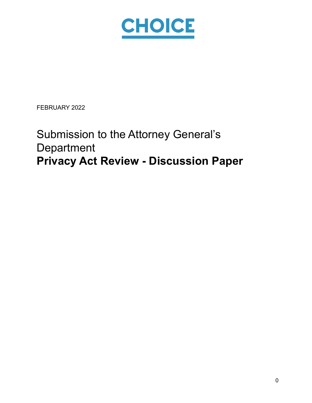

FEBRUARY 2022

# Submission to the Attorney General's **Department Privacy Act Review - Discussion Paper**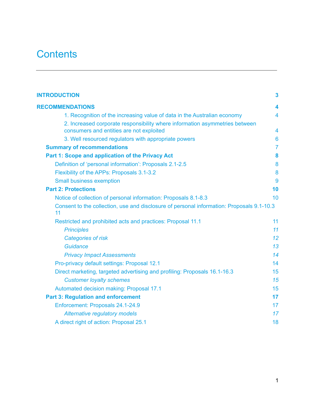## **Contents**

| <b>INTRODUCTION</b>                                                                                                     | $\mathbf{3}$            |
|-------------------------------------------------------------------------------------------------------------------------|-------------------------|
| <b>RECOMMENDATIONS</b>                                                                                                  | 4                       |
| 1. Recognition of the increasing value of data in the Australian economy                                                | 4                       |
| 2. Increased corporate responsibility where information asymmetries between<br>consumers and entities are not exploited | $\overline{\mathbf{4}}$ |
| 3. Well resourced regulators with appropriate powers                                                                    | $6\phantom{1}$          |
| <b>Summary of recommendations</b>                                                                                       | $\overline{7}$          |
| Part 1: Scope and application of the Privacy Act                                                                        | 8                       |
| Definition of 'personal information': Proposals 2.1-2.5                                                                 | 8                       |
| Flexibility of the APPs: Proposals 3.1-3.2                                                                              | 8                       |
| <b>Small business exemption</b>                                                                                         | 9                       |
| <b>Part 2: Protections</b>                                                                                              | 10                      |
| Notice of collection of personal information: Proposals 8.1-8.3                                                         | 10                      |
| Consent to the collection, use and disclosure of personal information: Proposals 9.1-10.3<br>11                         |                         |
| Restricted and prohibited acts and practices: Proposal 11.1                                                             | 11                      |
| <b>Principles</b>                                                                                                       | 11                      |
| Categories of risk                                                                                                      | 12                      |
| Guidance                                                                                                                | 13                      |
| <b>Privacy Impact Assessments</b>                                                                                       | 14                      |
| Pro-privacy default settings: Proposal 12.1                                                                             | 14                      |
| Direct marketing, targeted advertising and profiling: Proposals 16.1-16.3                                               | 15                      |
| <b>Customer loyalty schemes</b>                                                                                         | 15                      |
| Automated decision making: Proposal 17.1                                                                                | 15                      |
| <b>Part 3: Regulation and enforcement</b>                                                                               | 17                      |
| Enforcement: Proposals 24.1-24.9                                                                                        | 17                      |
| <b>Alternative regulatory models</b>                                                                                    | 17                      |
| A direct right of action: Proposal 25.1                                                                                 | 18                      |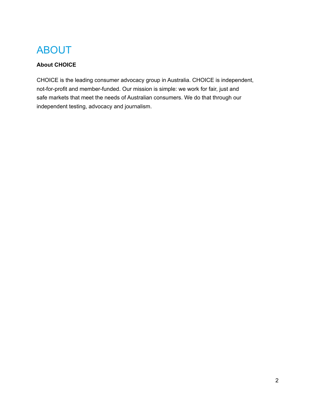## ABOUT

### **About CHOICE**

CHOICE is the leading consumer advocacy group in Australia. CHOICE is independent, not-for-profit and member-funded. Our mission is simple: we work for fair, just and safe markets that meet the needs of Australian consumers. We do that through our independent testing, advocacy and journalism.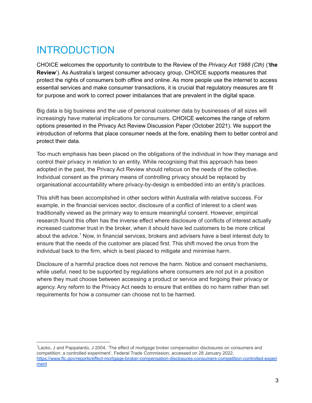## <span id="page-3-0"></span>INTRODUCTION

CHOICE welcomes the opportunity to contribute to the Review of the *Privacy Act 1988 (Cth)* ('**the Review**'). As Australia's largest consumer advocacy group, CHOICE supports measures that protect the rights of consumers both offline and online. As more people use the internet to access essential services and make consumer transactions, it is crucial that regulatory measures are fit for purpose and work to correct power imbalances that are prevalent in the digital space.

Big data is big business and the use of personal customer data by businesses of all sizes will increasingly have material implications for consumers. CHOICE welcomes the range of reform options presented in the Privacy Act Review Discussion Paper (October 2021). We support the introduction of reforms that place consumer needs at the fore, enabling them to better control and protect their data.

Too much emphasis has been placed on the obligations of the individual in how they manage and control their privacy in relation to an entity. While recognising that this approach has been adopted in the past, the Privacy Act Review should refocus on the needs of the collective. Individual consent as the primary means of controlling privacy should be replaced by organisational accountability where privacy-by-design is embedded into an entity's practices.

This shift has been accomplished in other sectors within Australia with relative success. For example, in the financial services sector, disclosure of a conflict of interest to a client was traditionally viewed as the primary way to ensure meaningful consent. However, empirical research found this often has the inverse effect where disclosure of conflicts of interest actually increased customer trust in the broker, when it should have led customers to be more critical about the advice.<sup>1</sup> Now, in financial services, brokers and advisers have a best interest duty to ensure that the needs of the customer are placed first. This shift moved the onus from the individual back to the firm, which is best placed to mitigate and minimise harm.

Disclosure of a harmful practice does not remove the harm. Notice and consent mechanisms, while useful, need to be supported by regulations where consumers are not put in a position where they must choose between accessing a product or service and forgoing their privacy or agency. Any reform to the Privacy Act needs to ensure that entities do no harm rather than set requirements for how a consumer can choose not to be harmed.

<sup>1</sup>Lacko, J and Pappalardo, J 2004, 'The effect of mortgage broker compensation disclosures on consumers and competition: a controlled experiment', Federal Trade Commission, accessed on 28 January 2022, [https://www.ftc.gov/reports/effect-mortgage-broker-compensation-disclosures-consumers-competition-controlled-experi](https://www.ftc.gov/reports/effect-mortgage-broker-compensation-disclosures-consumers-competition-controlled-experiment) [ment](https://www.ftc.gov/reports/effect-mortgage-broker-compensation-disclosures-consumers-competition-controlled-experiment)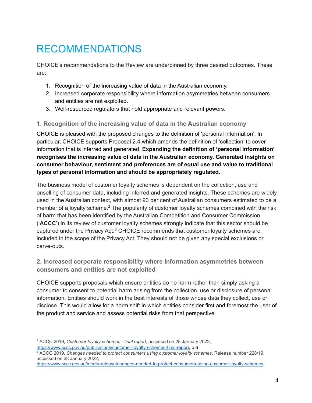# <span id="page-4-0"></span>RECOMMENDATIONS

CHOICE's recommendations to the Review are underpinned by three desired outcomes. These are:

- 1. Recognition of the increasing value of data in the Australian economy.
- 2. Increased corporate responsibility where information asymmetries between consumers and entities are not exploited.
- 3. Well-resourced regulators that hold appropriate and relevant powers.

#### <span id="page-4-1"></span>**1. Recognition of the increasing value of data in the Australian economy**

CHOICE is pleased with the proposed changes to the definition of 'personal information'. In particular, CHOICE supports Proposal 2.4 which amends the definition of 'collection' to cover information that is inferred and generated. **Expanding the definition of 'personal information' recognises the increasing value of data in the Australian economy. Generated insights on consumer behaviour, sentiment and preferences are of equal use and value to traditional types of personal information and should be appropriately regulated.**

The business model of customer loyalty schemes is dependent on the collection, use and onselling of consumer data, including inferred and generated insights. These schemes are widely used in the Australian context, with almost 90 per cent of Australian consumers estimated to be a member of a loyalty scheme.<sup>2</sup> The popularity of customer loyalty schemes combined with the risk of harm that has been identified by the Australian Competition and Consumer Commission ('**ACCC**') in its review of customer loyalty schemes strongly indicate that this sector should be captured under the Privacy Act. $3$  CHOICE recommends that customer loyalty schemes are included in the scope of the Privacy Act. They should not be given any special exclusions or carve-outs.

#### <span id="page-4-2"></span>**2. Increased corporate responsibility where information asymmetries between consumers and entities are not exploited**

CHOICE supports proposals which ensure entities do no harm rather than simply asking a consumer to consent to potential harm arising from the collection, use or disclosure of personal information. Entities should work in the best interests of those whose data they collect, use or disclose. This would allow for a norm shift in which entities consider first and foremost the user of the product and service and assess potential risks from that perspective.

<sup>2</sup> ACCC 2019, *Customer loyalty schemes - final report*, accessed on 28 January 2022, <https://www.accc.gov.au/publications/customer-loyalty-schemes-final-report>, p 6

<sup>3</sup> ACCC 2019, *Changes needed to protect consumers using customer loyalty schemes*, Release number 228/19, accessed on 28 January 2022,

<https://www.accc.gov.au/media-release/changes-needed-to-protect-consumers-using-customer-loyalty-schemes>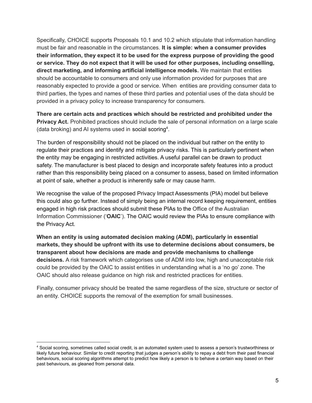Specifically, CHOICE supports Proposals 10.1 and 10.2 which stipulate that information handling must be fair and reasonable in the circumstances. **It is simple: when a consumer provides their information, they expect it to be used for the express purpose of providing the good or service. They do not expect that it will be used for other purposes, including onselling, direct marketing, and informing artificial intelligence models.** We maintain that entities should be accountable to consumers and only use information provided for purposes that are reasonably expected to provide a good or service. When entities are providing consumer data to third parties, the types and names of these third parties and potential uses of the data should be provided in a privacy policy to increase transparency for consumers.

**There are certain acts and practices which should be restricted and prohibited under the Privacy Act.** Prohibited practices should include the sale of personal information on a large scale (data broking) and AI systems used in social scoring<sup>4</sup>.

The burden of responsibility should not be placed on the individual but rather on the entity to regulate their practices and identify and mitigate privacy risks. This is particularly pertinent when the entity may be engaging in restricted activities. A useful parallel can be drawn to product safety. The manufacturer is best placed to design and incorporate safety features into a product rather than this responsibility being placed on a consumer to assess, based on limited information at point of sale, whether a product is inherently safe or may cause harm.

We recognise the value of the proposed Privacy Impact Assessments (PIA) model but believe this could also go further. Instead of simply being an internal record keeping requirement, entities engaged in high risk practices should submit these PIAs to the Office of the Australian Information Commissioner ('**OAIC**'). The OAIC would review the PIAs to ensure compliance with the Privacy Act.

**When an entity is using automated decision making (ADM), particularly in essential markets, they should be upfront with its use to determine decisions about consumers, be transparent about how decisions are made and provide mechanisms to challenge decisions.** A risk framework which categorises use of ADM into low, high and unacceptable risk could be provided by the OAIC to assist entities in understanding what is a 'no go' zone. The OAIC should also release guidance on high risk and restricted practices for entities.

Finally, consumer privacy should be treated the same regardless of the size, structure or sector of an entity. CHOICE supports the removal of the exemption for small businesses.

<sup>4</sup> Social scoring, sometimes called social credit, is an automated system used to assess a person's trustworthiness or likely future behaviour. Similar to credit reporting that judges a person's ability to repay a debt from their past financial behaviours, social scoring algorithms attempt to predict how likely a person is to behave a certain way based on their past behaviours, as gleaned from personal data.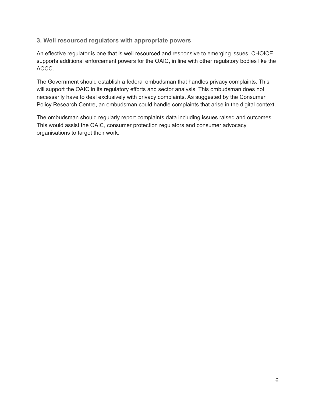#### <span id="page-6-0"></span>**3. Well resourced regulators with appropriate powers**

An effective regulator is one that is well resourced and responsive to emerging issues. CHOICE supports additional enforcement powers for the OAIC, in line with other regulatory bodies like the ACCC.

The Government should establish a federal ombudsman that handles privacy complaints. This will support the OAIC in its regulatory efforts and sector analysis. This ombudsman does not necessarily have to deal exclusively with privacy complaints. As suggested by the Consumer Policy Research Centre, an ombudsman could handle complaints that arise in the digital context.

The ombudsman should regularly report complaints data including issues raised and outcomes. This would assist the OAIC, consumer protection regulators and consumer advocacy organisations to target their work.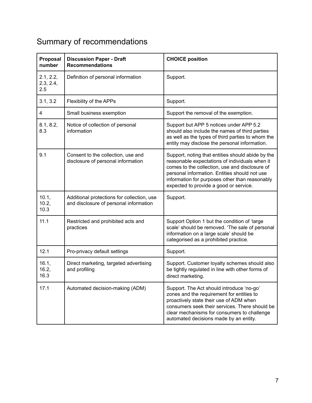# <span id="page-7-0"></span>Summary of recommendations

| Proposal<br>number            | <b>Discussion Paper - Draft</b><br><b>Recommendations</b>                            | <b>CHOICE position</b>                                                                                                                                                                                                                                                                             |
|-------------------------------|--------------------------------------------------------------------------------------|----------------------------------------------------------------------------------------------------------------------------------------------------------------------------------------------------------------------------------------------------------------------------------------------------|
| 2.1, 2.2,<br>2.3, 2.4,<br>2.5 | Definition of personal information                                                   | Support.                                                                                                                                                                                                                                                                                           |
| 3.1, 3.2                      | Flexibility of the APPs                                                              | Support.                                                                                                                                                                                                                                                                                           |
| 4                             | Small business exemption                                                             | Support the removal of the exemption.                                                                                                                                                                                                                                                              |
| 8.1, 8.2,<br>8.3              | Notice of collection of personal<br>information                                      | Support but APP 5 notices under APP 5.2<br>should also include the names of third parties<br>as well as the types of third parties to whom the<br>entity may disclose the personal information.                                                                                                    |
| 9.1                           | Consent to the collection, use and<br>disclosure of personal information             | Support, noting that entities should abide by the<br>reasonable expectations of individuals when it<br>comes to the collection, use and disclosure of<br>personal information. Entities should not use<br>information for purposes other than reasonably<br>expected to provide a good or service. |
| 10.1,<br>10.2,<br>10.3        | Additional protections for collection, use<br>and disclosure of personal information | Support.                                                                                                                                                                                                                                                                                           |
| 11.1                          | Restricted and prohibited acts and<br>practices                                      | Support Option 1 but the condition of 'large<br>scale' should be removed. 'The sale of personal<br>information on a large scale' should be<br>categorised as a prohibited practice.                                                                                                                |
| 12.1                          | Pro-privacy default settings                                                         | Support.                                                                                                                                                                                                                                                                                           |
| 16.1,<br>16.2,<br>16.3        | Direct marketing, targeted advertising<br>and profiling                              | Support. Customer loyalty schemes should also<br>be tightly regulated in line with other forms of<br>direct marketing.                                                                                                                                                                             |
| 17.1                          | Automated decision-making (ADM)                                                      | Support. The Act should introduce 'no-go'<br>zones and the requirement for entities to<br>proactively state their use of ADM when<br>consumers seek their services. There should be<br>clear mechanisms for consumers to challenge<br>automated decisions made by an entity.                       |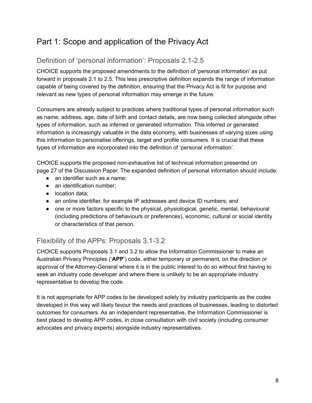## <span id="page-8-0"></span>Part 1: Scope and application of the Privacy Act

## <span id="page-8-1"></span>Definition of 'personal information': Proposals 2.1-2.5

CHOICE supports the proposed amendments to the definition of 'personal information' as put forward in proposals 2.1 to 2.5. This less prescriptive definition expands the range of information capable of being covered by the definition, ensuring that the Privacy Act is fit for purpose and relevant as new types of personal information may emerge in the future.

Consumers are already subject to practices where traditional types of personal information such as name, address, age, date of birth and contact details, are now being collected alongside other types of information, such as inferred or generated information. This inferred or generated information is increasingly valuable in the data economy, with businesses of varying sizes using this information to personalise offerings, target and profile consumers. It is crucial that these types of information are incorporated into the definition of 'personal information'.

CHOICE supports the proposed non-exhaustive list of technical information presented on page 27 of the Discussion Paper. The expanded definition of personal information should include:

- an identifier such as a name;
- an identification number:
- location data;
- an online identifier, for example IP addresses and device ID numbers; and
- one or more factors specific to the physical, physiological, genetic, mental, behavioural (including predictions of behaviours or preferences), economic, cultural or social identity or characteristics of that person.

## <span id="page-8-2"></span>Flexibility of the APPs: Proposals 3.1-3.2

CHOICE supports Proposals 3.1 and 3.2 to allow the Information Commissioner to make an Australian Privacy Principles ('**APP**') code, either temporary or permanent, on the direction or approval of the Attorney-General where it is in the public interest to do so without first having to seek an industry code developer and where there is unlikely to be an appropriate industry representative to develop the code.

It is not appropriate for APP codes to be developed solely by industry participants as the codes developed in this way will likely favour the needs and practices of businesses, leading to distorted outcomes for consumers. As an independent representative, the Information Commissioner is best placed to develop APP codes, in close consultation with civil society (including consumer advocates and privacy experts) alongside industry representatives.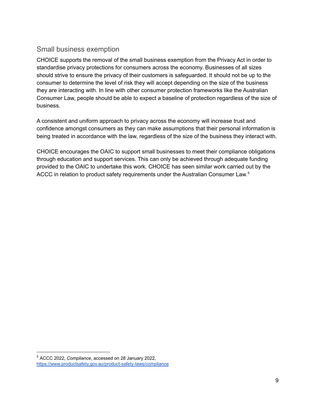### <span id="page-9-0"></span>Small business exemption

CHOICE supports the removal of the small business exemption from the Privacy Act in order to standardise privacy protections for consumers across the economy. Businesses of all sizes should strive to ensure the privacy of their customers is safeguarded. It should not be up to the consumer to determine the level of risk they will accept depending on the size of the business they are interacting with. In line with other consumer protection frameworks like the Australian Consumer Law, people should be able to expect a baseline of protection regardless of the size of business.

A consistent and uniform approach to privacy across the economy will increase trust and confidence amongst consumers as they can make assumptions that their personal information is being treated in accordance with the law, regardless of the size of the business they interact with.

CHOICE encourages the OAIC to support small businesses to meet their compliance obligations through education and support services. This can only be achieved through adequate funding provided to the OAIC to undertake this work. CHOICE has seen similar work carried out by the ACCC in relation to product safety requirements under the Australian Consumer Law.<sup>5</sup>

<sup>5</sup> ACCC 2022, *Compliance*, accessed on 28 January 2022, <https://www.productsafety.gov.au/product-safety-laws/compliance>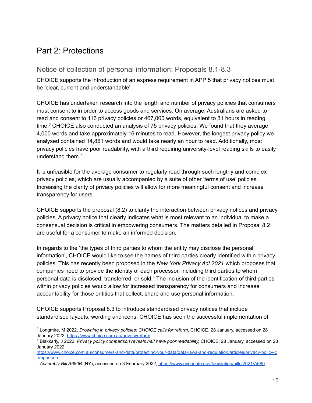## <span id="page-10-0"></span>Part 2: Protections

## <span id="page-10-1"></span>Notice of collection of personal information: Proposals 8.1-8.3

CHOICE supports the introduction of an express requirement in APP 5 that privacy notices must be 'clear, current and understandable'.

CHOICE has undertaken research into the length and number of privacy policies that consumers must consent to in order to access goods and services. On average, Australians are asked to read and consent to 116 privacy policies or 467,000 words, equivalent to 31 hours in reading time. $6$  CHOICE also conducted an analysis of 75 privacy policies. We found that they average 4,000 words and take approximately 16 minutes to read. However, the longest privacy policy we analysed contained 14,861 words and would take nearly an hour to read. Additionally, most privacy policies have poor readability, with a third requiring university-level reading skills to easily understand them. 7

It is unfeasible for the average consumer to regularly read through such lengthy and complex privacy policies, which are usually accompanied by a suite of other 'terms of use' policies. Increasing the clarity of privacy policies will allow for more meaningful consent and increase transparency for users.

CHOICE supports the proposal (8.2) to clarify the interaction between privacy notices and privacy policies. A privacy notice that clearly indicates what is most relevant to an individual to make a consensual decision is critical in empowering consumers. The matters detailed in Proposal 8.2 are useful for a consumer to make an informed decision.

In regards to the 'the types of third parties to whom the entity may disclose the personal information', CHOICE would like to see the names of third parties clearly identified within privacy policies. This has recently been proposed in the *New York Privacy Act 2021* which proposes that companies need to provide the identity of each processor, including third parties to whom personal data is disclosed, transferred, or sold. $8$  The inclusion of the identification of third parties within privacy policies would allow for increased transparency for consumers and increase accountability for those entities that collect, share and use personal information.

CHOICE supports Proposal 8.3 to introduce standardised privacy notices that include standardised layouts, wording and icons. CHOICE has seen the successful implementation of

<sup>6</sup> Longmire, M 2022, *Drowning in privacy policies: CHOICE calls for reform*, CHOICE, 28 January, accessed on 28 January 2022, <https://www.choice.com.au/privacyreform>

<sup>7</sup> Blakkarly, J 2022, *Privacy policy comparison reveals half have poor readability,* CHOICE, 28 January, accessed on 28 January 2022,

[https://www.choice.com.au/consumers-and-data/protecting-your-data/data-laws-and-regulation/articles/privacy-policy-c](https://www.choice.com.au/consumers-and-data/protecting-your-data/data-laws-and-regulation/articles/privacy-policy-comparison) [omparison](https://www.choice.com.au/consumers-and-data/protecting-your-data/data-laws-and-regulation/articles/privacy-policy-comparison)

<sup>&</sup>lt;sup>8</sup> Assembly Bill A680B (NY), accessed on 3 February 2022, <https://www.nysenate.gov/legislation/bills/2021/A680>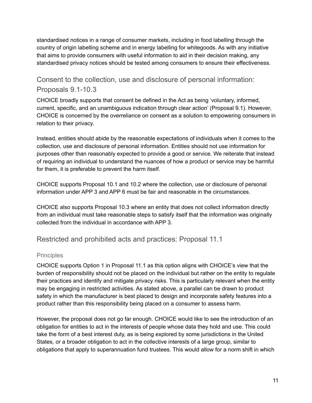standardised notices in a range of consumer markets, including in food labelling through the country of origin labelling scheme and in energy labelling for whitegoods. As with any initiative that aims to provide consumers with useful information to aid in their decision making, any standardised privacy notices should be tested among consumers to ensure their effectiveness.

## <span id="page-11-0"></span>Consent to the collection, use and disclosure of personal information: Proposals 9.1-10.3

CHOICE broadly supports that consent be defined in the Act as being 'voluntary, informed, current, specific, and an unambiguous indication through clear action' (Proposal 9.1). However, CHOICE is concerned by the overreliance on consent as a solution to empowering consumers in relation to their privacy.

Instead, entities should abide by the reasonable expectations of individuals when it comes to the collection, use and disclosure of personal information. Entities should not use information for purposes other than reasonably expected to provide a good or service. We reiterate that instead of requiring an individual to understand the nuances of how a product or service may be harmful for them, it is preferable to prevent the harm itself.

CHOICE supports Proposal 10.1 and 10.2 where the collection, use or disclosure of personal information under APP 3 and APP 6 must be fair and reasonable in the circumstances.

CHOICE also supports Proposal 10.3 where an entity that does not collect information directly from an individual must take reasonable steps to satisfy itself that the information was originally collected from the individual in accordance with APP 3.

<span id="page-11-1"></span>Restricted and prohibited acts and practices: Proposal 11.1

### <span id="page-11-2"></span>**Principles**

CHOICE supports Option 1 in Proposal 11.1 as this option aligns with CHOICE's view that the burden of responsibility should not be placed on the individual but rather on the entity to regulate their practices and identify and mitigate privacy risks. This is particularly relevant when the entity may be engaging in restricted activities. As stated above, a parallel can be drawn to product safety in which the manufacturer is best placed to design and incorporate safety features into a product rather than this responsibility being placed on a consumer to assess harm.

However, the proposal does not go far enough. CHOICE would like to see the introduction of an obligation for entities to act in the interests of people whose data they hold and use. This could take the form of a best interest duty, as is being explored by some jurisdictions in the United States, or a broader obligation to act in the collective interests of a large group, similar to obligations that apply to superannuation fund trustees. This would allow for a norm shift in which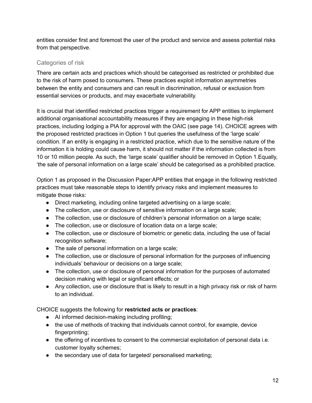entities consider first and foremost the user of the product and service and assess potential risks from that perspective.

### <span id="page-12-0"></span>Categories of risk

There are certain acts and practices which should be categorised as restricted or prohibited due to the risk of harm posed to consumers. These practices exploit information asymmetries between the entity and consumers and can result in discrimination, refusal or exclusion from essential services or products, and may exacerbate vulnerability.

It is crucial that identified restricted practices trigger a requirement for APP entities to implement additional organisational accountability measures if they are engaging in these high-risk practices, including lodging a PIA for approval with the OAIC (see page 14). CHOICE agrees with the proposed restricted practices in Option 1 but queries the usefulness of the 'large scale' condition. If an entity is engaging in a restricted practice, which due to the sensitive nature of the information it is holding could cause harm, it should not matter if the information collected is from 10 or 10 million people. As such, the 'large scale' qualifier should be removed in Option 1.Equally, 'the sale of personal information on a large scale' should be categorised as a prohibited practice.

Option 1 as proposed in the Discussion Paper:APP entities that engage in the following restricted practices must take reasonable steps to identify privacy risks and implement measures to mitigate those risks:

- Direct marketing, including online targeted advertising on a large scale;
- The collection, use or disclosure of sensitive information on a large scale;
- The collection, use or disclosure of children's personal information on a large scale;
- The collection, use or disclosure of location data on a large scale;
- The collection, use or disclosure of biometric or genetic data, including the use of facial recognition software;
- The sale of personal information on a large scale;
- The collection, use or disclosure of personal information for the purposes of influencing individuals' behaviour or decisions on a large scale;
- The collection, use or disclosure of personal information for the purposes of automated decision making with legal or significant effects; or
- Any collection, use or disclosure that is likely to result in a high privacy risk or risk of harm to an individual.

CHOICE suggests the following for **restricted acts or practices**:

- AI informed decision-making including profiling;
- the use of methods of tracking that individuals cannot control, for example, device fingerprinting;
- the offering of incentives to consent to the commercial exploitation of personal data i.e. customer loyalty schemes;
- the secondary use of data for targeted/ personalised marketing;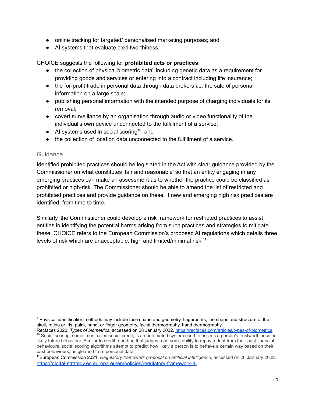- online tracking for targeted/ personalised marketing purposes; and
- AI systems that evaluate creditworthiness.

CHOICE suggests the following for **prohibited acts or practices**:

- $\bullet$  the collection of physical biometric data<sup>9</sup> including genetic data as a requirement for providing goods and services or entering into a contract including life insurance;
- the for-profit trade in personal data through data brokers i.e. the sale of personal information on a large scale;
- publishing personal information with the intended purpose of charging individuals for its removal;
- covert surveillance by an organisation through audio or video functionality of the individual's own device unconnected to the fulfillment of a service;
- $\bullet$  AI systems used in social scoring<sup>10</sup>; and
- the collection of location data unconnected to the fulfillment of a service.

#### <span id="page-13-0"></span>**Guidance**

Identified prohibited practices should be legislated in the Act with clear guidance provided by the Commissioner on what constitutes 'fair and reasonable' so that an entity engaging in any emerging practices can make an assessment as to whether the practice could be classified as prohibited or high-risk. The Commissioner should be able to amend the list of restricted and prohibited practices and provide guidance on these, if new and emerging high risk practices are identified, from time to time.

Similarly, the Commissioner could develop a risk framework for restricted practices to assist entities in identifying the potential harms arising from such practices and strategies to mitigate these. CHOICE refers to the European Commission's proposed AI regulations which details three levels of risk which are unacceptable, high and limited/minimal risk.<sup>11</sup>

<sup>9</sup> Physical identification methods may include face shape and geometry, fingerprints, the shape and structure of the skull, retina or iris, palm, hand, or finger geometry, facial thermography, hand thermography.

<sup>&</sup>lt;sup>10</sup> Social scoring, sometimes called social credit, is an automated system used to assess a person's trustworthiness or likely future behaviour. Similar to credit reporting that judges a person's ability to repay a debt from their past financial behaviours, social scoring algorithms attempt to predict how likely a person is to behave a certain way based on their past behaviours, as gleaned from personal data. Recfaces 2020, *Types of biometrics*, accessed on 28 January 2022, <https://recfaces.com/articles/types-of-biometrics>

<sup>11</sup>European Commission 2021, *Regulatory framework proposal on artificial intelligence,* accessed on 28 January 2022, <https://digital-strategy.ec.europa.eu/en/policies/regulatory-framework-ai>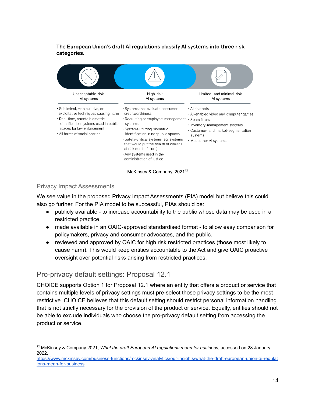#### The European Union's draft AI regulations classify AI systems into three risk categories.



McKinsey & Company, 2021<sup>12</sup>

#### <span id="page-14-0"></span>Privacy Impact Assessments

We see value in the proposed Privacy Impact Assessments (PIA) model but believe this could also go further. For the PIA model to be successful, PIAs should be:

- publicly available to increase accountability to the public whose data may be used in a restricted practice.
- made available in an OAIC-approved standardised format to allow easy comparison for policymakers, privacy and consumer advocates, and the public.
- reviewed and approved by OAIC for high risk restricted practices (those most likely to cause harm). This would keep entities accountable to the Act and give OAIC proactive oversight over potential risks arising from restricted practices.

## <span id="page-14-1"></span>Pro-privacy default settings: Proposal 12.1

CHOICE supports Option 1 for Proposal 12.1 where an entity that offers a product or service that contains multiple levels of privacy settings must pre-select those privacy settings to be the most restrictive. CHOICE believes that this default setting should restrict personal information handling that is not strictly necessary for the provision of the product or service. Equally, entities should not be able to exclude individuals who choose the pro-privacy default setting from accessing the product or service.

<sup>12</sup> McKinsey & Company 2021, *What the draft European AI regulations mean for business*, accessed on 28 January 2022,

[https://www.mckinsey.com/business-functions/mckinsey-analytics/our-insights/what-the-draft-european-union-ai-regulat](https://www.mckinsey.com/business-functions/mckinsey-analytics/our-insights/what-the-draft-european-union-ai-regulations-mean-for-business) [ions-mean-for-business](https://www.mckinsey.com/business-functions/mckinsey-analytics/our-insights/what-the-draft-european-union-ai-regulations-mean-for-business)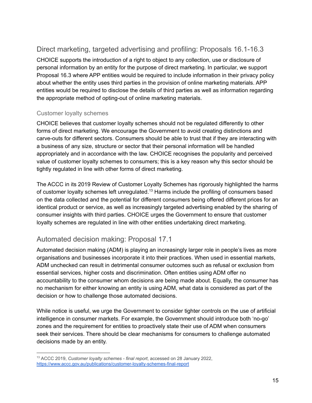## <span id="page-15-0"></span>Direct marketing, targeted advertising and profiling: Proposals 16.1-16.3

CHOICE supports the introduction of a right to object to any collection, use or disclosure of personal information by an entity for the purpose of direct marketing. In particular, we support Proposal 16.3 where APP entities would be required to include information in their privacy policy about whether the entity uses third parties in the provision of online marketing materials. APP entities would be required to disclose the details of third parties as well as information regarding the appropriate method of opting-out of online marketing materials.

#### <span id="page-15-1"></span>Customer loyalty schemes

CHOICE believes that customer loyalty schemes should not be regulated differently to other forms of direct marketing. We encourage the Government to avoid creating distinctions and carve-outs for different sectors. Consumers should be able to trust that if they are interacting with a business of any size, structure or sector that their personal information will be handled appropriately and in accordance with the law. CHOICE recognises the popularity and perceived value of customer loyalty schemes to consumers; this is a key reason why this sector should be tightly regulated in line with other forms of direct marketing.

The ACCC in its 2019 Review of Customer Loyalty Schemes has rigorously highlighted the harms of customer loyalty schemes left unregulated.<sup>13</sup> Harms include the profiling of consumers based on the data collected and the potential for different consumers being offered different prices for an identical product or service, as well as increasingly targeted advertising enabled by the sharing of consumer insights with third parties. CHOICE urges the Government to ensure that customer loyalty schemes are regulated in line with other entities undertaking direct marketing.

## <span id="page-15-2"></span>Automated decision making: Proposal 17.1

Automated decision making (ADM) is playing an increasingly larger role in people's lives as more organisations and businesses incorporate it into their practices. When used in essential markets, ADM unchecked can result in detrimental consumer outcomes such as refusal or exclusion from essential services, higher costs and discrimination. Often entities using ADM offer no accountability to the consumer whom decisions are being made about. Equally, the consumer has no mechanism for either knowing an entity is using ADM, what data is considered as part of the decision or how to challenge those automated decisions.

While notice is useful, we urge the Government to consider tighter controls on the use of artificial intelligence in consumer markets. For example, the Government should introduce both 'no-go' zones and the requirement for entities to proactively state their use of ADM when consumers seek their services. There should be clear mechanisms for consumers to challenge automated decisions made by an entity.

<sup>13</sup> ACCC 2019, *Customer loyalty schemes - final report*, accessed on 28 January 2022, <https://www.accc.gov.au/publications/customer-loyalty-schemes-final-report>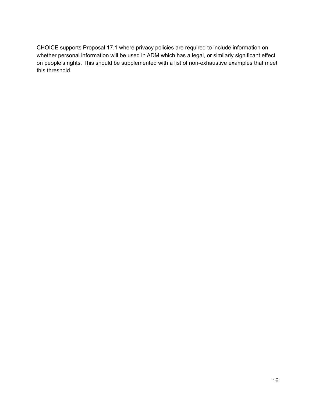CHOICE supports Proposal 17.1 where privacy policies are required to include information on whether personal information will be used in ADM which has a legal, or similarly significant effect on people's rights. This should be supplemented with a list of non-exhaustive examples that meet this threshold.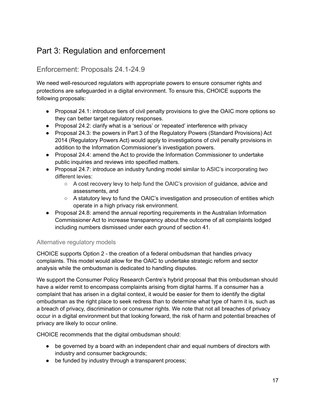## <span id="page-17-0"></span>Part 3: Regulation and enforcement

## <span id="page-17-1"></span>Enforcement: Proposals 24.1-24.9

We need well-resourced regulators with appropriate powers to ensure consumer rights and protections are safeguarded in a digital environment. To ensure this, CHOICE supports the following proposals:

- Proposal 24.1: introduce tiers of civil penalty provisions to give the OAIC more options so they can better target regulatory responses.
- Proposal 24.2: clarify what is a 'serious' or 'repeated' interference with privacy
- Proposal 24.3: the powers in Part 3 of the Regulatory Powers (Standard Provisions) Act 2014 (Regulatory Powers Act) would apply to investigations of civil penalty provisions in addition to the Information Commissioner's investigation powers.
- Proposal 24.4: amend the Act to provide the Information Commissioner to undertake public inquiries and reviews into specified matters.
- Proposal 24.7: introduce an industry funding model similar to ASIC's incorporating two different levies:
	- A cost recovery levy to help fund the OAIC's provision of guidance, advice and assessments, and
	- $\circ$  A statutory levy to fund the OAIC's investigation and prosecution of entities which operate in a high privacy risk environment.
- Proposal 24.8: amend the annual reporting requirements in the Australian Information Commissioner Act to increase transparency about the outcome of all complaints lodged including numbers dismissed under each ground of section 41.

#### <span id="page-17-2"></span>Alternative regulatory models

CHOICE supports Option 2 - the creation of a federal ombudsman that handles privacy complaints. This model would allow for the OAIC to undertake strategic reform and sector analysis while the ombudsman is dedicated to handling disputes.

We support the Consumer Policy Research Centre's hybrid proposal that this ombudsman should have a wider remit to encompass complaints arising from digital harms. If a consumer has a complaint that has arisen in a digital context, it would be easier for them to identify the digital ombudsman as the right place to seek redress than to determine what type of harm it is, such as a breach of privacy, discrimination or consumer rights. We note that not all breaches of privacy occur in a digital environment but that looking forward, the risk of harm and potential breaches of privacy are likely to occur online.

CHOICE recommends that the digital ombudsman should:

- be governed by a board with an independent chair and equal numbers of directors with industry and consumer backgrounds;
- be funded by industry through a transparent process;